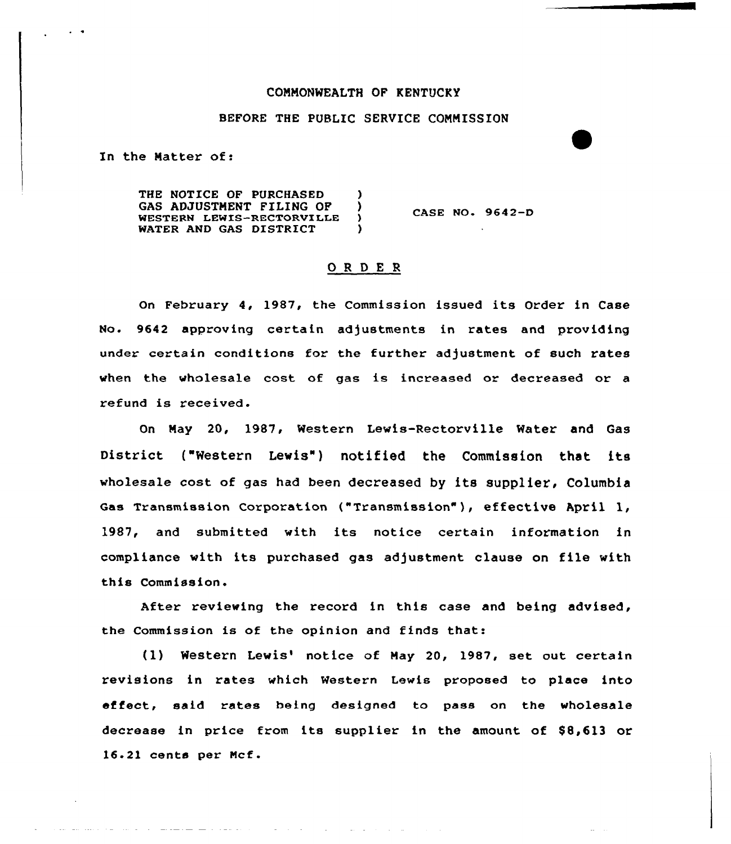#### CONNONWEALTH OF KENTUCKY

# BEFORE THE PUBLIC SERVICE COMMISSION

In the Natter of:

and the state of the state of the

THE NOTICE OF PURCHASED )<br>GAS ADJUSTMENT FILING OF ) GAS ADJUSTMENT FILING OF WESTERN LEWIS-RECTORVILLE WATER AND GAS DISTRICT ) CASE NO- 9642-D

### ORDER

On February 4, 1987, the Commission issued its Order in Case No. 9642 approving certain adjustments in rates and providing under certain conditions for the further adjustment of such rates when the wholesale cost of gas is increased or decreased or a refund is received.

On Nay 20, 1987, Western Lewis-Rectorville Water and Gas District ("Western Lewis") notified the Commission that its wholesale cost of gas had been decreased by its supplier, Columbia Gas Transmission Corporation ("Transmission"), effective April 1, 1987, and submitted with its notice certain information in compliance with its purchased gas adjustment clause on file with this Commission.

After reviewing the record in this case and being advised, the Commission is of the opinion and finds that:

(1) Western Lewis' notice of May 20, 1987, set out certain revisions in rates which Western Lewis proposed to place into effect, said rates being designed to pass on the wholesale decrease in price from its supplier in the amount of \$8,613 or 16-21 cents per Ncf.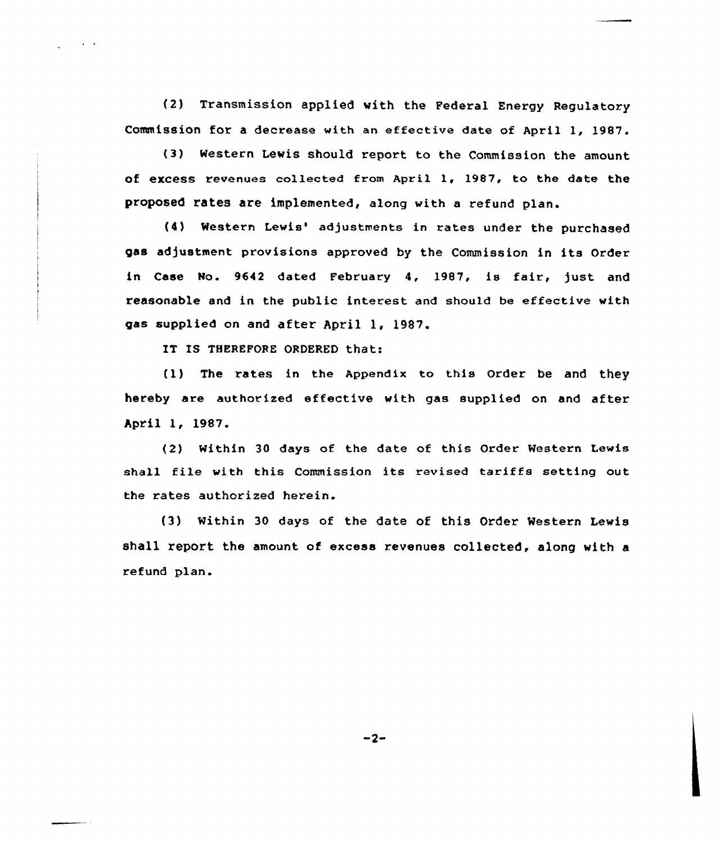(2) Transmission applied with the Federal Energy Regulatory Commission for a decrease with an effective date of April 1, 1987.

(3) Western Lewis should report to the Commission the amount of excess revenues collected fram April 1, 1987, to the date the proposed rates are implemented, along with <sup>a</sup> refund plan.

(4) Western Lewis' adjustments in rates under the purchased gas adjustment provisions approved by the Commission in its Order in Case No. 9642 dated February 4, 1987, is fair, just and reasonable and in the public interest and should be effective with gas supplied on and after April 1, 1987.

IT IS THEREFORE ORDERED that:

 $\sim 10^{-11}$ 

(1) The rates in the Appendix to this order be and they hereby are authorized effective with gas supplied on and after April 1, 1987.

(2) Within 30 days of the date of this Order Western Lewis shall file with this Commission its revised tariffs setting out the rates authorized herein.

(3) Within 30 days of the date of this Order Western Lewis shall report the amount of excess revenues collected, along with a refund plan.

-2-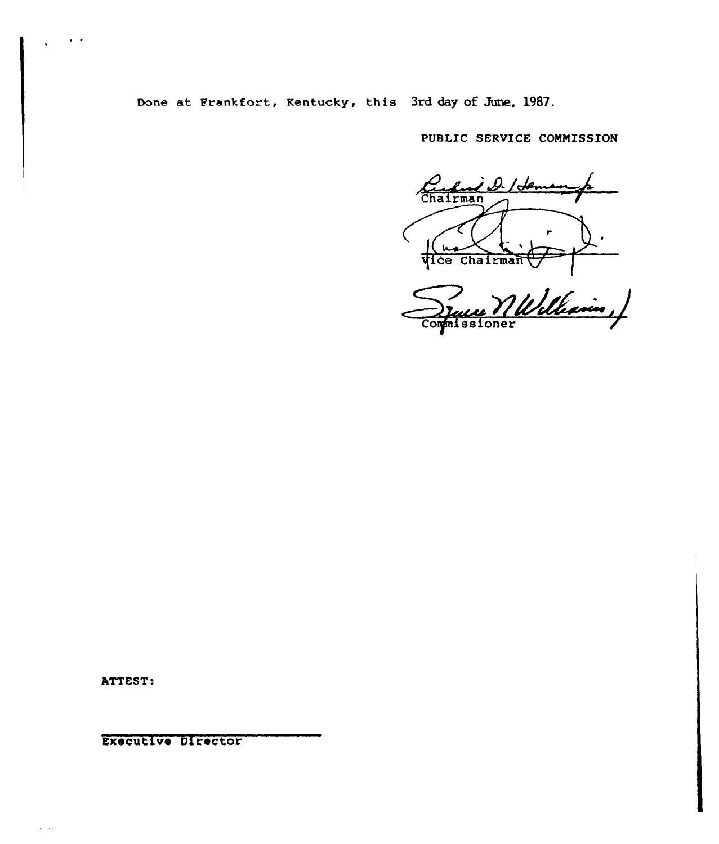Done at Frankfort, Kentucky, this 3rd day of June, 1987.

PUBLIC SERVICE COMMISSION

 $10.1$ den Chairman Vice Chairman

Williams ) <u>ruvi</u> Commissioner

ATTEST:

 $\frac{1}{2}$  and  $\frac{1}{2}$ 

 $\sim$   $\sim$ 

Executive Director